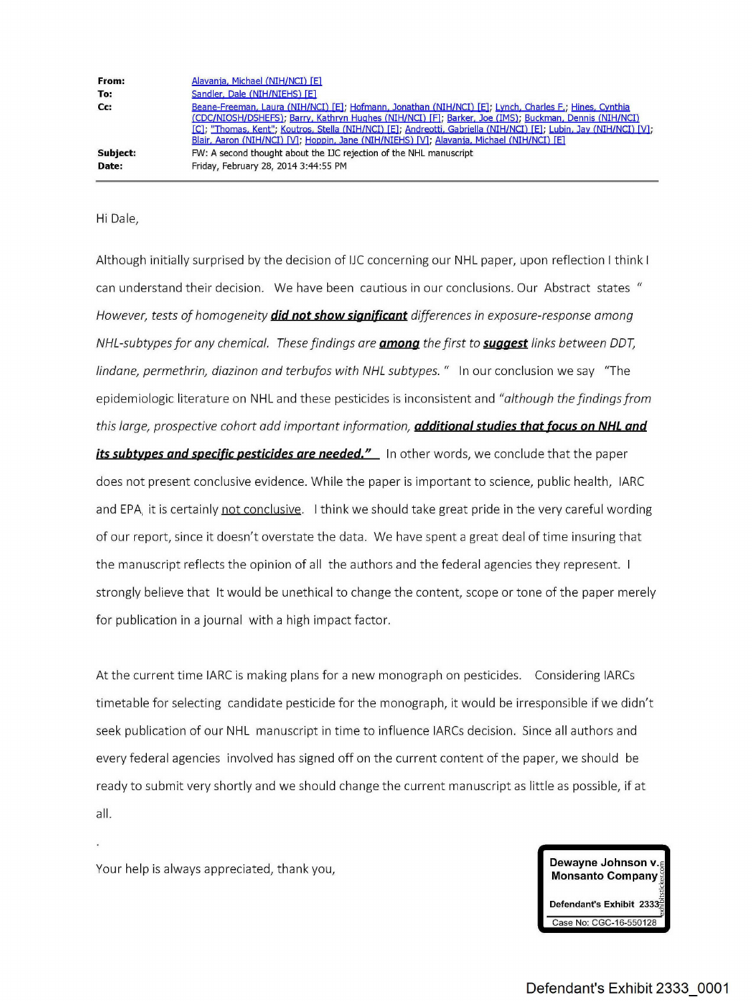| From:    | Alavanja, Michael (NIH/NCI) [E]                                                                                                                                                                                                                                                                                                                                                                                                   |
|----------|-----------------------------------------------------------------------------------------------------------------------------------------------------------------------------------------------------------------------------------------------------------------------------------------------------------------------------------------------------------------------------------------------------------------------------------|
| To:      | Sandler, Dale (NIH/NIEHS) [E]                                                                                                                                                                                                                                                                                                                                                                                                     |
| Cc:      | Beane-Freeman, Laura (NIH/NCI) [E]; Hofmann, Jonathan (NIH/NCI) [E]; Lynch, Charles F.; Hines, Cynthia<br>(CDC/NIOSH/DSHEFS); Barry, Kathryn Hughes (NIH/NCI) [F], Barker, Joe (IMS); Buckman, Dennis (NIH/NCI)<br>[C]; "Thomas, Kent"; Koutros, Stella (NIH/NCI) [E]; Andreotti, Gabriella (NIH/NCI) [E]; Lubin, Jay (NIH/NCI) [V];<br>Blair, Aaron (NIH/NCI) [V]; Hoppin, Jane (NIH/NIEHS) [V]; Alavanja, Michael (NIH/NCI) [E] |
| Subject: | FW: A second thought about the IJC rejection of the NHL manuscript                                                                                                                                                                                                                                                                                                                                                                |
| Date:    | Friday, February 28, 2014 3:44:55 PM                                                                                                                                                                                                                                                                                                                                                                                              |

## Hi Dale,

Although initially surprised by the decision of IJC concerning our NHL paper, upon reflection <sup>I</sup> think <sup>I</sup> can understand their decision. We have been cautious in our conclusions. Our Abstract states " However, tests of homogeneity **did not show** sia\_ni\_ficant differences in exposure-response among NHL-subtypes for any chemical. These findings are **among** the first to **suggest** links between DDT, lindane, permethrin, diazinon and terbufos with NHL subtypes." In our conclusion we say "The epidemiologic literature on NHL and these pesticides is inconsistent and "although the findings from this large, prospective cohort add important information, **additional studies that\_focus** on NHL **and** *its subtypes and specific pesticides are needed."* **In other words, we conclude that the paper** does not present conclusive evidence. While the paper is important to science, public health, IARC and [EPA,](https://www.baumhedlundlaw.com/toxic-tort-law/monsanto-roundup-lawsuit/) it is certainly not conclusive. I think we should take great pride in the very careful wording of our report, since it doesn't overstate the data. We have spent <sup>a</sup> great deal of time insuring that the manuscript reflects the opinion of all the authors and the federal agencies they represent. <sup>I</sup> strongly believe that It would be unethical to change the content, scope or tone of the paper merely for publication in <sup>a</sup> journal with <sup>a</sup> high impact factor.

At the current time IARC is making plans for a new monograph on pesticides. Considering IARCs timetable for selecting candidate pesticide for the monograph, it would be irresponsible if we didn't seek publication of our NHL manuscript in time to influence IARCs decision. Since all authors and every federal agencies involved has signed off on the current content of the paper, we should be ready to submit very shortly and we should change the current manuscript as little as possible, if at all.

Your help is always appreciated, thank you,

**Dewayne Johnson v.~ Monsanto Company**

**Defendant's Exhibit 2333 Case** No: CGC-16-550128